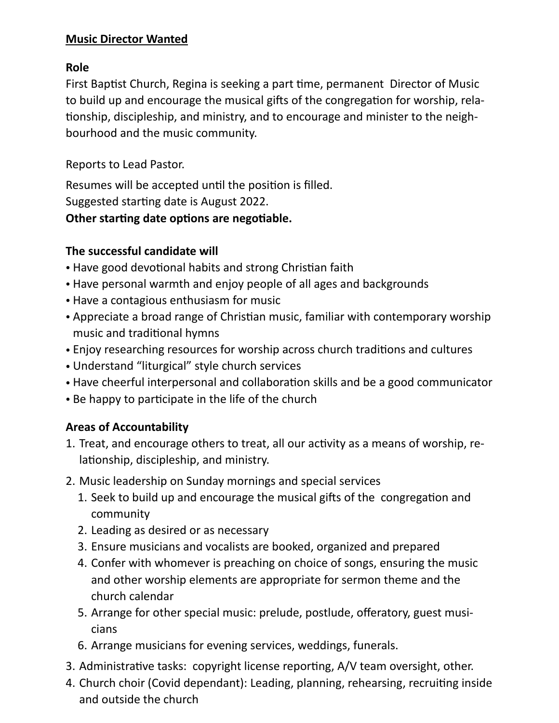#### **Music Director Wanted**

#### **Role**

First Baptist Church, Regina is seeking a part time, permanent Director of Music to build up and encourage the musical gifts of the congregation for worship, rela tionship, discipleship, and ministry, and to encourage and minister to the neighbourhood and the music community.

Reports to Lead Pastor.

Resumes will be accepted until the position is filled. Suggested starting date is August 2022. **Other starting date options are negotiable.**

### **The successful candidate will**

- Have good devotional habits and strong Christian faith
- Have personal warmth and enjoy people of all ages and backgrounds
- Have a contagious enthusiasm for music
- Appreciate a broad range of Christian music, familiar with contemporary worship music and traditional hymns
- Enjoy researching resources for worship across church traditions and cultures
- Understand "liturgical" style church services
- Have cheerful interpersonal and collaboration skills and be a good communicator
- Be happy to participate in the life of the church

# **Areas of Accountability**

- 1. Treat, and encourage others to treat, all our activity as a means of worship, relationship, discipleship, and ministry.
- 2. Music leadership on Sunday mornings and special services
	- 1. Seek to build up and encourage the musical gifts of the congregation and community
	- 2. Leading as desired or as necessary
	- 3. Ensure musicians and vocalists are booked, organized and prepared
	- 4. Confer with whomever is preaching on choice of songs, ensuring the music and other worship elements are appropriate for sermon theme and the church calendar
	- 5. Arrange for other special music: prelude, postlude, offeratory, guest musicians
	- 6. Arrange musicians for evening services, weddings, funerals.
- 3. Administrative tasks: copyright license reporting, A/V team oversight, other.
- 4. Church choir (Covid dependant): Leading, planning, rehearsing, recruiting inside and outside the church